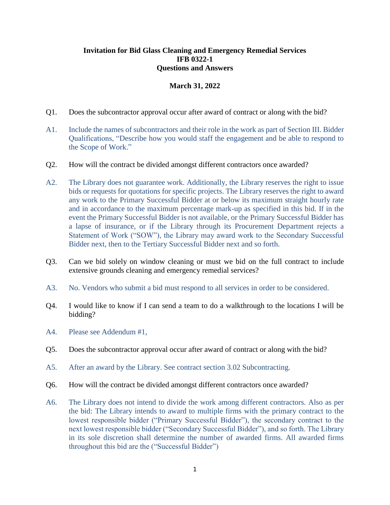## **Invitation for Bid Glass Cleaning and Emergency Remedial Services IFB 0322-1 Questions and Answers**

## **March 31, 2022**

- Q1. Does the subcontractor approval occur after award of contract or along with the bid?
- A1. Include the names of subcontractors and their role in the work as part of Section III. Bidder Qualifications, "Describe how you would staff the engagement and be able to respond to the Scope of Work."
- Q2. How will the contract be divided amongst different contractors once awarded?
- A2. The Library does not guarantee work. Additionally, the Library reserves the right to issue bids or requests for quotations for specific projects. The Library reserves the right to award any work to the Primary Successful Bidder at or below its maximum straight hourly rate and in accordance to the maximum percentage mark-up as specified in this bid. If in the event the Primary Successful Bidder is not available, or the Primary Successful Bidder has a lapse of insurance, or if the Library through its Procurement Department rejects a Statement of Work ("SOW"), the Library may award work to the Secondary Successful Bidder next, then to the Tertiary Successful Bidder next and so forth.
- Q3. Can we bid solely on window cleaning or must we bid on the full contract to include extensive grounds cleaning and emergency remedial services?
- A3. No. Vendors who submit a bid must respond to all services in order to be considered.
- Q4. I would like to know if I can send a team to do a walkthrough to the locations I will be bidding?
- A4. Please see Addendum #1,
- Q5. Does the subcontractor approval occur after award of contract or along with the bid?
- A5. After an award by the Library. See contract section 3.02 Subcontracting.
- Q6. How will the contract be divided amongst different contractors once awarded?
- A6. The Library does not intend to divide the work among different contractors. Also as per the bid: The Library intends to award to multiple firms with the primary contract to the lowest responsible bidder ("Primary Successful Bidder"), the secondary contract to the next lowest responsible bidder ("Secondary Successful Bidder"), and so forth. The Library in its sole discretion shall determine the number of awarded firms. All awarded firms throughout this bid are the ("Successful Bidder")